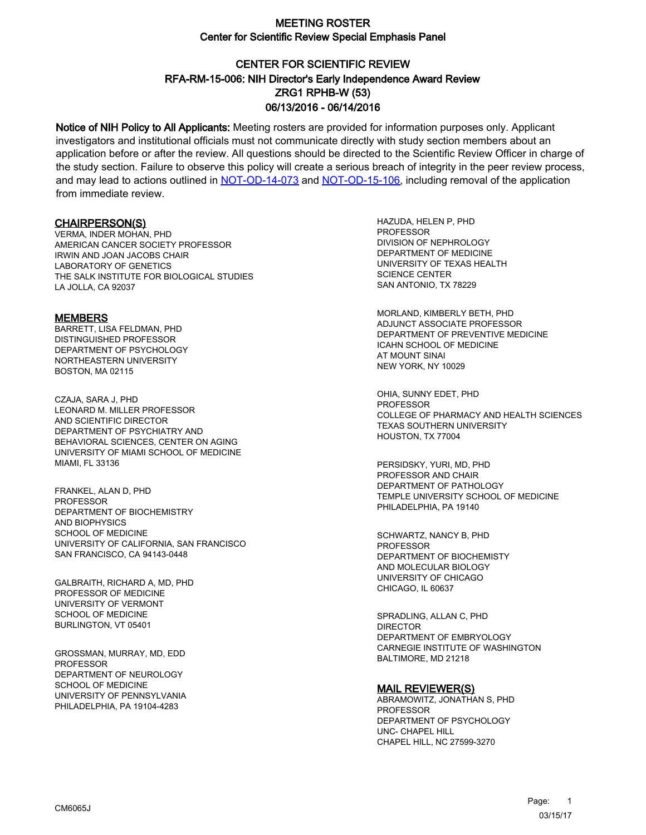# CENTER FOR SCIENTIFIC REVIEW ZRG1 RPHB-W (53) 06/13/2016 - 06/14/2016 RFA-RM-15-006: NIH Director's Early Independence Award Review

Notice of NIH Policy to All Applicants: Meeting rosters are provided for information purposes only. Applicant investigators and institutional officials must not communicate directly with study section members about an application before or after the review. All questions should be directed to the Scientific Review Officer in charge of the study section. Failure to observe this policy will create a serious breach of integrity in the peer review process, and may lead to actions outlined in [NOT-OD-14-073](https://grants.nih.gov/grants/guide/notice-files/NOT-OD-14-073.html) and [NOT-OD-15-106,](https://grants.nih.gov/grants/guide/notice-files/NOT-OD-15-106.html) including removal of the application from immediate review.

#### CHAIRPERSON(S)

VERMA, INDER MOHAN, PHD AMERICAN CANCER SOCIETY PROFESSOR IRWIN AND JOAN JACOBS CHAIR LABORATORY OF GENETICS THE SALK INSTITUTE FOR BIOLOGICAL STUDIES LA JOLLA, CA 92037

#### **MEMBERS**

BARRETT, LISA FELDMAN, PHD DISTINGUISHED PROFESSOR DEPARTMENT OF PSYCHOLOGY NORTHEASTERN UNIVERSITY BOSTON, MA 02115

CZAJA, SARA J, PHD LEONARD M. MILLER PROFESSOR AND SCIENTIFIC DIRECTOR DEPARTMENT OF PSYCHIATRY AND BEHAVIORAL SCIENCES, CENTER ON AGING UNIVERSITY OF MIAMI SCHOOL OF MEDICINE MIAMI, FL 33136

FRANKEL, ALAN D, PHD PROFESSOR DEPARTMENT OF BIOCHEMISTRY AND BIOPHYSICS SCHOOL OF MEDICINE UNIVERSITY OF CALIFORNIA, SAN FRANCISCO SAN FRANCISCO, CA 94143-0448

GALBRAITH, RICHARD A, MD, PHD PROFESSOR OF MEDICINE UNIVERSITY OF VERMONT SCHOOL OF MEDICINE BURLINGTON, VT 05401

GROSSMAN, MURRAY, MD, EDD **PROFESSOR** DEPARTMENT OF NEUROLOGY SCHOOL OF MEDICINE UNIVERSITY OF PENNSYLVANIA PHILADELPHIA, PA 19104-4283

HAZUDA, HELEN P, PHD PROFESSOR DIVISION OF NEPHROLOGY DEPARTMENT OF MEDICINE UNIVERSITY OF TEXAS HEALTH SCIENCE CENTER SAN ANTONIO, TX 78229

MORLAND, KIMBERLY BETH, PHD ADJUNCT ASSOCIATE PROFESSOR DEPARTMENT OF PREVENTIVE MEDICINE ICAHN SCHOOL OF MEDICINE AT MOUNT SINAI NEW YORK, NY 10029

OHIA, SUNNY EDET, PHD **PROFESSOR** COLLEGE OF PHARMACY AND HEALTH SCIENCES TEXAS SOUTHERN UNIVERSITY HOUSTON, TX 77004

PERSIDSKY, YURI, MD, PHD PROFESSOR AND CHAIR DEPARTMENT OF PATHOLOGY TEMPLE UNIVERSITY SCHOOL OF MEDICINE PHILADELPHIA, PA 19140

SCHWARTZ, NANCY B, PHD PROFESSOR DEPARTMENT OF BIOCHEMISTY AND MOLECULAR BIOLOGY UNIVERSITY OF CHICAGO CHICAGO, IL 60637

SPRADLING, ALLAN C, PHD DIRECTOR DEPARTMENT OF EMBRYOLOGY CARNEGIE INSTITUTE OF WASHINGTON BALTIMORE, MD 21218

#### MAIL REVIEWER(S)

ABRAMOWITZ, JONATHAN S, PHD PROFESSOR DEPARTMENT OF PSYCHOLOGY UNC- CHAPEL HILL CHAPEL HILL, NC 27599-3270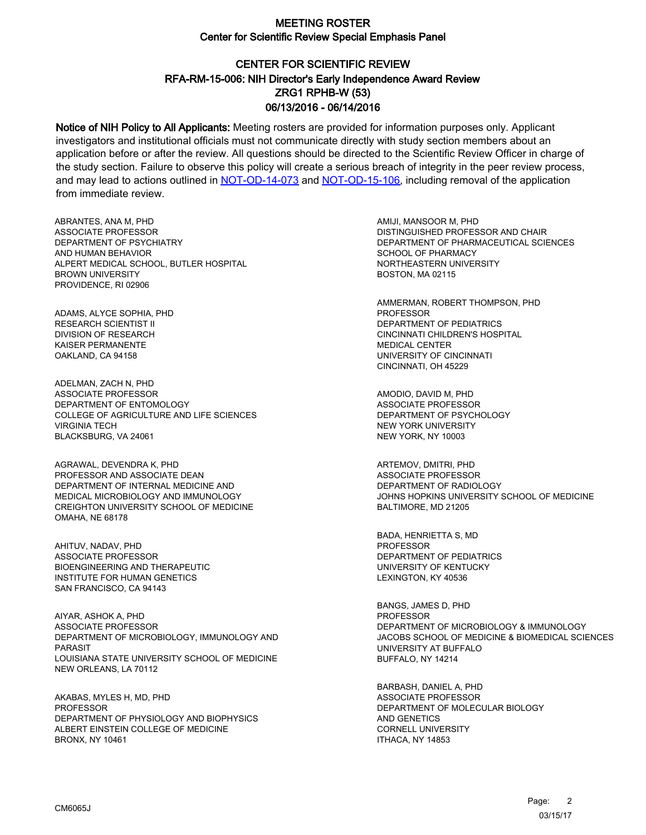# CENTER FOR SCIENTIFIC REVIEW ZRG1 RPHB-W (53) 06/13/2016 - 06/14/2016 RFA-RM-15-006: NIH Director's Early Independence Award Review

Notice of NIH Policy to All Applicants: Meeting rosters are provided for information purposes only. Applicant investigators and institutional officials must not communicate directly with study section members about an application before or after the review. All questions should be directed to the Scientific Review Officer in charge of the study section. Failure to observe this policy will create a serious breach of integrity in the peer review process, and may lead to actions outlined in [NOT-OD-14-073](https://grants.nih.gov/grants/guide/notice-files/NOT-OD-14-073.html) and [NOT-OD-15-106,](https://grants.nih.gov/grants/guide/notice-files/NOT-OD-15-106.html) including removal of the application from immediate review.

ABRANTES, ANA M, PHD ASSOCIATE PROFESSOR DEPARTMENT OF PSYCHIATRY AND HUMAN BEHAVIOR ALPERT MEDICAL SCHOOL, BUTLER HOSPITAL BROWN UNIVERSITY PROVIDENCE, RI 02906

ADAMS, ALYCE SOPHIA, PHD RESEARCH SCIENTIST II DIVISION OF RESEARCH KAISER PERMANENTE OAKLAND, CA 94158

ADELMAN, ZACH N, PHD ASSOCIATE PROFESSOR DEPARTMENT OF ENTOMOLOGY COLLEGE OF AGRICULTURE AND LIFE SCIENCES VIRGINIA TECH BLACKSBURG, VA 24061

AGRAWAL, DEVENDRA K, PHD PROFESSOR AND ASSOCIATE DEAN DEPARTMENT OF INTERNAL MEDICINE AND MEDICAL MICROBIOLOGY AND IMMUNOLOGY CREIGHTON UNIVERSITY SCHOOL OF MEDICINE OMAHA, NE 68178

AHITUV, NADAV, PHD ASSOCIATE PROFESSOR BIOENGINEERING AND THERAPEUTIC INSTITUTE FOR HUMAN GENETICS SAN FRANCISCO, CA 94143

AIYAR, ASHOK A, PHD ASSOCIATE PROFESSOR DEPARTMENT OF MICROBIOLOGY, IMMUNOLOGY AND PARASIT LOUISIANA STATE UNIVERSITY SCHOOL OF MEDICINE NEW ORLEANS, LA 70112

AKABAS, MYLES H, MD, PHD **PROFESSOR** DEPARTMENT OF PHYSIOLOGY AND BIOPHYSICS ALBERT EINSTEIN COLLEGE OF MEDICINE BRONX, NY 10461

AMIJI, MANSOOR M, PHD DISTINGUISHED PROFESSOR AND CHAIR DEPARTMENT OF PHARMACEUTICAL SCIENCES SCHOOL OF PHARMACY NORTHEASTERN UNIVERSITY BOSTON, MA 02115

AMMERMAN, ROBERT THOMPSON, PHD PROFESSOR DEPARTMENT OF PEDIATRICS CINCINNATI CHILDREN'S HOSPITAL MEDICAL CENTER UNIVERSITY OF CINCINNATI CINCINNATI, OH 45229

AMODIO, DAVID M, PHD ASSOCIATE PROFESSOR DEPARTMENT OF PSYCHOLOGY NEW YORK UNIVERSITY NEW YORK, NY 10003

ARTEMOV, DMITRI, PHD ASSOCIATE PROFESSOR DEPARTMENT OF RADIOLOGY JOHNS HOPKINS UNIVERSITY SCHOOL OF MEDICINE BALTIMORE, MD 21205

BADA, HENRIETTA S, MD PROFESSOR DEPARTMENT OF PEDIATRICS UNIVERSITY OF KENTUCKY LEXINGTON, KY 40536

BANGS, JAMES D, PHD **PROFESSOR** DEPARTMENT OF MICROBIOLOGY & IMMUNOLOGY JACOBS SCHOOL OF MEDICINE & BIOMEDICAL SCIENCES UNIVERSITY AT BUFFALO BUFFALO, NY 14214

BARBASH, DANIEL A, PHD ASSOCIATE PROFESSOR DEPARTMENT OF MOLECULAR BIOLOGY AND GENETICS CORNELL UNIVERSITY ITHACA, NY 14853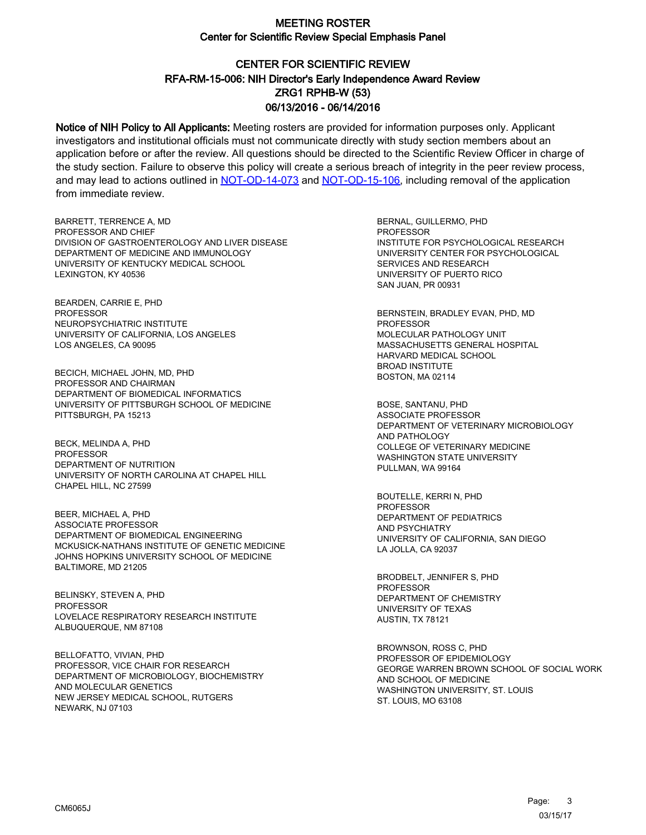# CENTER FOR SCIENTIFIC REVIEW ZRG1 RPHB-W (53) 06/13/2016 - 06/14/2016 RFA-RM-15-006: NIH Director's Early Independence Award Review

Notice of NIH Policy to All Applicants: Meeting rosters are provided for information purposes only. Applicant investigators and institutional officials must not communicate directly with study section members about an application before or after the review. All questions should be directed to the Scientific Review Officer in charge of the study section. Failure to observe this policy will create a serious breach of integrity in the peer review process, and may lead to actions outlined in [NOT-OD-14-073](https://grants.nih.gov/grants/guide/notice-files/NOT-OD-14-073.html) and [NOT-OD-15-106,](https://grants.nih.gov/grants/guide/notice-files/NOT-OD-15-106.html) including removal of the application from immediate review.

BARRETT, TERRENCE A, MD PROFESSOR AND CHIEF DIVISION OF GASTROENTEROLOGY AND LIVER DISEASE DEPARTMENT OF MEDICINE AND IMMUNOLOGY UNIVERSITY OF KENTUCKY MEDICAL SCHOOL LEXINGTON, KY 40536

BEARDEN, CARRIE E, PHD **PROFESSOR** NEUROPSYCHIATRIC INSTITUTE UNIVERSITY OF CALIFORNIA, LOS ANGELES LOS ANGELES, CA 90095

BECICH, MICHAEL JOHN, MD, PHD PROFESSOR AND CHAIRMAN DEPARTMENT OF BIOMEDICAL INFORMATICS UNIVERSITY OF PITTSBURGH SCHOOL OF MEDICINE PITTSBURGH, PA 15213

BECK, MELINDA A, PHD PROFESSOR DEPARTMENT OF NUTRITION UNIVERSITY OF NORTH CAROLINA AT CHAPEL HILL CHAPEL HILL, NC 27599

BEER, MICHAEL A, PHD ASSOCIATE PROFESSOR DEPARTMENT OF BIOMEDICAL ENGINEERING MCKUSICK-NATHANS INSTITUTE OF GENETIC MEDICINE JOHNS HOPKINS UNIVERSITY SCHOOL OF MEDICINE BALTIMORE, MD 21205

BELINSKY, STEVEN A, PHD PROFESSOR LOVELACE RESPIRATORY RESEARCH INSTITUTE ALBUQUERQUE, NM 87108

BELLOFATTO, VIVIAN, PHD PROFESSOR, VICE CHAIR FOR RESEARCH DEPARTMENT OF MICROBIOLOGY, BIOCHEMISTRY AND MOLECULAR GENETICS NEW JERSEY MEDICAL SCHOOL, RUTGERS NEWARK, NJ 07103

BERNAL, GUILLERMO, PHD PROFESSOR INSTITUTE FOR PSYCHOLOGICAL RESEARCH UNIVERSITY CENTER FOR PSYCHOLOGICAL SERVICES AND RESEARCH UNIVERSITY OF PUERTO RICO SAN JUAN, PR 00931

BERNSTEIN, BRADLEY EVAN, PHD, MD PROFESSOR MOLECULAR PATHOLOGY UNIT MASSACHUSETTS GENERAL HOSPITAL HARVARD MEDICAL SCHOOL BROAD INSTITUTE BOSTON, MA 02114

BOSE, SANTANU, PHD ASSOCIATE PROFESSOR DEPARTMENT OF VETERINARY MICROBIOLOGY AND PATHOLOGY COLLEGE OF VETERINARY MEDICINE WASHINGTON STATE UNIVERSITY PULLMAN, WA 99164

BOUTELLE, KERRI N, PHD PROFESSOR DEPARTMENT OF PEDIATRICS AND PSYCHIATRY UNIVERSITY OF CALIFORNIA, SAN DIEGO LA JOLLA, CA 92037

BRODBELT, JENNIFER S, PHD PROFESSOR DEPARTMENT OF CHEMISTRY UNIVERSITY OF TEXAS AUSTIN, TX 78121

BROWNSON, ROSS C, PHD PROFESSOR OF EPIDEMIOLOGY GEORGE WARREN BROWN SCHOOL OF SOCIAL WORK AND SCHOOL OF MEDICINE WASHINGTON UNIVERSITY, ST. LOUIS ST. LOUIS, MO 63108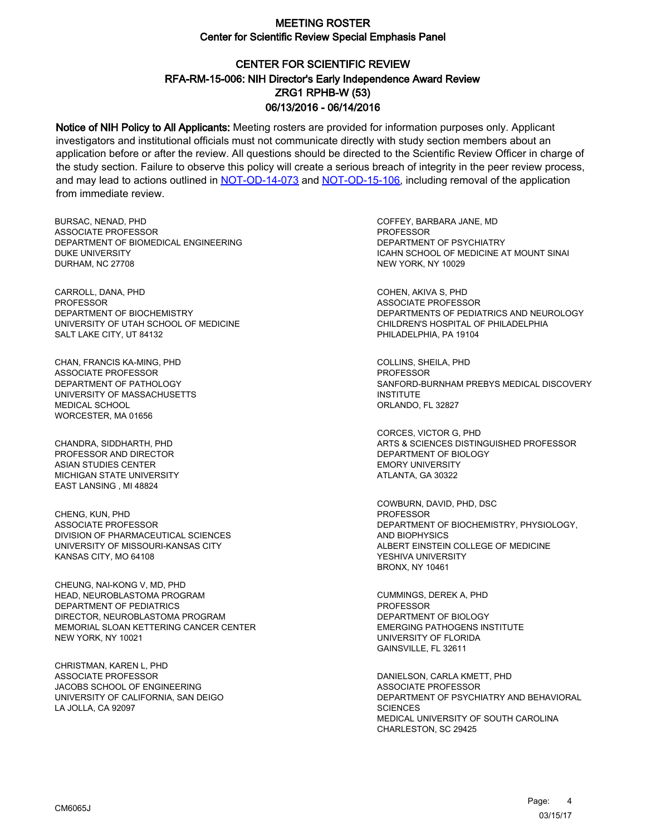# CENTER FOR SCIENTIFIC REVIEW ZRG1 RPHB-W (53) 06/13/2016 - 06/14/2016 RFA-RM-15-006: NIH Director's Early Independence Award Review

Notice of NIH Policy to All Applicants: Meeting rosters are provided for information purposes only. Applicant investigators and institutional officials must not communicate directly with study section members about an application before or after the review. All questions should be directed to the Scientific Review Officer in charge of the study section. Failure to observe this policy will create a serious breach of integrity in the peer review process, and may lead to actions outlined in [NOT-OD-14-073](https://grants.nih.gov/grants/guide/notice-files/NOT-OD-14-073.html) and [NOT-OD-15-106,](https://grants.nih.gov/grants/guide/notice-files/NOT-OD-15-106.html) including removal of the application from immediate review.

BURSAC, NENAD, PHD ASSOCIATE PROFESSOR DEPARTMENT OF BIOMEDICAL ENGINEERING DUKE UNIVERSITY DURHAM, NC 27708

CARROLL, DANA, PHD PROFESSOR DEPARTMENT OF BIOCHEMISTRY UNIVERSITY OF UTAH SCHOOL OF MEDICINE SALT LAKE CITY, UT 84132

CHAN, FRANCIS KA-MING, PHD ASSOCIATE PROFESSOR DEPARTMENT OF PATHOLOGY UNIVERSITY OF MASSACHUSETTS MEDICAL SCHOOL WORCESTER, MA 01656

CHANDRA, SIDDHARTH, PHD PROFESSOR AND DIRECTOR ASIAN STUDIES CENTER MICHIGAN STATE UNIVERSITY EAST LANSING , MI 48824

CHENG, KUN, PHD ASSOCIATE PROFESSOR DIVISION OF PHARMACEUTICAL SCIENCES UNIVERSITY OF MISSOURI-KANSAS CITY KANSAS CITY, MO 64108

CHEUNG, NAI-KONG V, MD, PHD HEAD, NEUROBLASTOMA PROGRAM DEPARTMENT OF PEDIATRICS DIRECTOR, NEUROBLASTOMA PROGRAM MEMORIAL SLOAN KETTERING CANCER CENTER NEW YORK, NY 10021

CHRISTMAN, KAREN L, PHD ASSOCIATE PROFESSOR JACOBS SCHOOL OF ENGINEERING UNIVERSITY OF CALIFORNIA, SAN DEIGO LA JOLLA, CA 92097

COFFEY, BARBARA JANE, MD **PROFESSOR** DEPARTMENT OF PSYCHIATRY ICAHN SCHOOL OF MEDICINE AT MOUNT SINAI NEW YORK, NY 10029

COHEN, AKIVA S, PHD ASSOCIATE PROFESSOR DEPARTMENTS OF PEDIATRICS AND NEUROLOGY CHILDREN'S HOSPITAL OF PHILADELPHIA PHILADELPHIA, PA 19104

COLLINS, SHEILA, PHD **PROFESSOR** SANFORD-BURNHAM PREBYS MEDICAL DISCOVERY INSTITUTE ORLANDO, FL 32827

CORCES, VICTOR G, PHD ARTS & SCIENCES DISTINGUISHED PROFESSOR DEPARTMENT OF BIOLOGY EMORY UNIVERSITY ATLANTA, GA 30322

COWBURN, DAVID, PHD, DSC PROFESSOR DEPARTMENT OF BIOCHEMISTRY, PHYSIOLOGY, AND BIOPHYSICS ALBERT EINSTEIN COLLEGE OF MEDICINE YESHIVA UNIVERSITY BRONX, NY 10461

CUMMINGS, DEREK A, PHD PROFESSOR DEPARTMENT OF BIOLOGY EMERGING PATHOGENS INSTITUTE UNIVERSITY OF FLORIDA GAINSVILLE, FL 32611

DANIELSON, CARLA KMETT, PHD ASSOCIATE PROFESSOR DEPARTMENT OF PSYCHIATRY AND BEHAVIORAL **SCIENCES** MEDICAL UNIVERSITY OF SOUTH CAROLINA CHARLESTON, SC 29425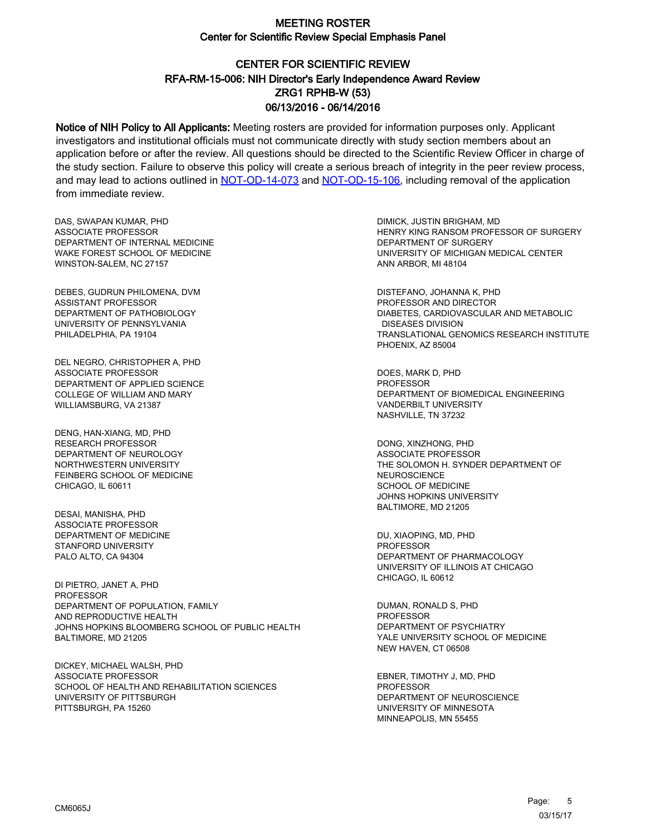# CENTER FOR SCIENTIFIC REVIEW ZRG1 RPHB-W (53) 06/13/2016 - 06/14/2016 RFA-RM-15-006: NIH Director's Early Independence Award Review

Notice of NIH Policy to All Applicants: Meeting rosters are provided for information purposes only. Applicant investigators and institutional officials must not communicate directly with study section members about an application before or after the review. All questions should be directed to the Scientific Review Officer in charge of the study section. Failure to observe this policy will create a serious breach of integrity in the peer review process, and may lead to actions outlined in [NOT-OD-14-073](https://grants.nih.gov/grants/guide/notice-files/NOT-OD-14-073.html) and [NOT-OD-15-106,](https://grants.nih.gov/grants/guide/notice-files/NOT-OD-15-106.html) including removal of the application from immediate review.

DAS, SWAPAN KUMAR, PHD ASSOCIATE PROFESSOR DEPARTMENT OF INTERNAL MEDICINE WAKE FOREST SCHOOL OF MEDICINE WINSTON-SALEM, NC 27157

DEBES, GUDRUN PHILOMENA, DVM ASSISTANT PROFESSOR DEPARTMENT OF PATHOBIOLOGY UNIVERSITY OF PENNSYLVANIA PHILADELPHIA, PA 19104

DEL NEGRO, CHRISTOPHER A, PHD ASSOCIATE PROFESSOR DEPARTMENT OF APPLIED SCIENCE COLLEGE OF WILLIAM AND MARY WILLIAMSBURG, VA 21387

DENG, HAN-XIANG, MD, PHD RESEARCH PROFESSOR DEPARTMENT OF NEUROLOGY NORTHWESTERN UNIVERSITY FEINBERG SCHOOL OF MEDICINE CHICAGO, IL 60611

DESAI, MANISHA, PHD ASSOCIATE PROFESSOR DEPARTMENT OF MEDICINE STANFORD UNIVERSITY PALO ALTO, CA 94304

DI PIETRO, JANET A, PHD PROFESSOR DEPARTMENT OF POPULATION, FAMILY AND REPRODUCTIVE HEALTH JOHNS HOPKINS BLOOMBERG SCHOOL OF PUBLIC HEALTH BALTIMORE, MD 21205

DICKEY, MICHAEL WALSH, PHD ASSOCIATE PROFESSOR SCHOOL OF HEALTH AND REHABILITATION SCIENCES UNIVERSITY OF PITTSBURGH PITTSBURGH, PA 15260

DIMICK, JUSTIN BRIGHAM, MD HENRY KING RANSOM PROFESSOR OF SURGERY DEPARTMENT OF SURGERY UNIVERSITY OF MICHIGAN MEDICAL CENTER ANN ARBOR, MI 48104

DISTEFANO, JOHANNA K, PHD PROFESSOR AND DIRECTOR DIABETES, CARDIOVASCULAR AND METABOLIC DISEASES DIVISION TRANSLATIONAL GENOMICS RESEARCH INSTITUTE PHOENIX, AZ 85004

DOES, MARK D, PHD PROFESSOR DEPARTMENT OF BIOMEDICAL ENGINEERING VANDERBILT UNIVERSITY NASHVILLE, TN 37232

DONG, XINZHONG, PHD ASSOCIATE PROFESSOR THE SOLOMON H. SYNDER DEPARTMENT OF NEUROSCIENCE SCHOOL OF MEDICINE JOHNS HOPKINS UNIVERSITY BALTIMORE, MD 21205

DU, XIAOPING, MD, PHD PROFESSOR DEPARTMENT OF PHARMACOLOGY UNIVERSITY OF ILLINOIS AT CHICAGO CHICAGO, IL 60612

DUMAN, RONALD S, PHD **PROFESSOR** DEPARTMENT OF PSYCHIATRY YALE UNIVERSITY SCHOOL OF MEDICINE NEW HAVEN, CT 06508

EBNER, TIMOTHY J, MD, PHD **PROFESSOR** DEPARTMENT OF NEUROSCIENCE UNIVERSITY OF MINNESOTA MINNEAPOLIS, MN 55455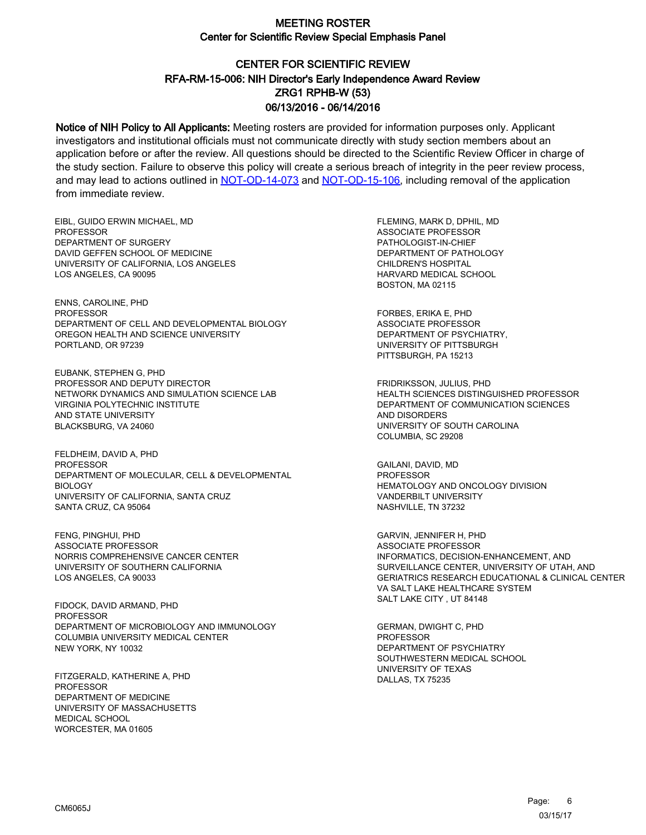# CENTER FOR SCIENTIFIC REVIEW ZRG1 RPHB-W (53) 06/13/2016 - 06/14/2016 RFA-RM-15-006: NIH Director's Early Independence Award Review

Notice of NIH Policy to All Applicants: Meeting rosters are provided for information purposes only. Applicant investigators and institutional officials must not communicate directly with study section members about an application before or after the review. All questions should be directed to the Scientific Review Officer in charge of the study section. Failure to observe this policy will create a serious breach of integrity in the peer review process, and may lead to actions outlined in [NOT-OD-14-073](https://grants.nih.gov/grants/guide/notice-files/NOT-OD-14-073.html) and [NOT-OD-15-106,](https://grants.nih.gov/grants/guide/notice-files/NOT-OD-15-106.html) including removal of the application from immediate review.

EIBL, GUIDO ERWIN MICHAEL, MD **PROFESSOR** DEPARTMENT OF SURGERY DAVID GEFFEN SCHOOL OF MEDICINE UNIVERSITY OF CALIFORNIA, LOS ANGELES LOS ANGELES, CA 90095

ENNS, CAROLINE, PHD PROFESSOR DEPARTMENT OF CELL AND DEVELOPMENTAL BIOLOGY OREGON HEALTH AND SCIENCE UNIVERSITY PORTLAND, OR 97239

EUBANK, STEPHEN G, PHD PROFESSOR AND DEPUTY DIRECTOR NETWORK DYNAMICS AND SIMULATION SCIENCE LAB VIRGINIA POLYTECHNIC INSTITUTE AND STATE UNIVERSITY BLACKSBURG, VA 24060

FELDHEIM, DAVID A, PHD PROFESSOR DEPARTMENT OF MOLECULAR, CELL & DEVELOPMENTAL BIOLOGY UNIVERSITY OF CALIFORNIA, SANTA CRUZ SANTA CRUZ, CA 95064

FENG, PINGHUI, PHD ASSOCIATE PROFESSOR NORRIS COMPREHENSIVE CANCER CENTER UNIVERSITY OF SOUTHERN CALIFORNIA LOS ANGELES, CA 90033

FIDOCK, DAVID ARMAND, PHD **PROFESSOR** DEPARTMENT OF MICROBIOLOGY AND IMMUNOLOGY COLUMBIA UNIVERSITY MEDICAL CENTER NEW YORK, NY 10032

FITZGERALD, KATHERINE A, PHD **PROFESSOR** DEPARTMENT OF MEDICINE UNIVERSITY OF MASSACHUSETTS MEDICAL SCHOOL WORCESTER, MA 01605

FLEMING, MARK D, DPHIL, MD ASSOCIATE PROFESSOR PATHOLOGIST-IN-CHIEF DEPARTMENT OF PATHOLOGY CHILDREN'S HOSPITAL HARVARD MEDICAL SCHOOL BOSTON, MA 02115

FORBES, ERIKA E, PHD ASSOCIATE PROFESSOR DEPARTMENT OF PSYCHIATRY, UNIVERSITY OF PITTSBURGH PITTSBURGH, PA 15213

FRIDRIKSSON, JULIUS, PHD HEALTH SCIENCES DISTINGUISHED PROFESSOR DEPARTMENT OF COMMUNICATION SCIENCES AND DISORDERS UNIVERSITY OF SOUTH CAROLINA COLUMBIA, SC 29208

GAILANI, DAVID, MD PROFESSOR HEMATOLOGY AND ONCOLOGY DIVISION VANDERBILT UNIVERSITY NASHVILLE, TN 37232

GARVIN, JENNIFER H, PHD ASSOCIATE PROFESSOR INFORMATICS, DECISION-ENHANCEMENT, AND SURVEILLANCE CENTER, UNIVERSITY OF UTAH, AND GERIATRICS RESEARCH EDUCATIONAL & CLINICAL CENTER VA SALT LAKE HEALTHCARE SYSTEM SALT LAKE CITY , UT 84148

GERMAN, DWIGHT C, PHD **PROFESSOR** DEPARTMENT OF PSYCHIATRY SOUTHWESTERN MEDICAL SCHOOL UNIVERSITY OF TEXAS DALLAS, TX 75235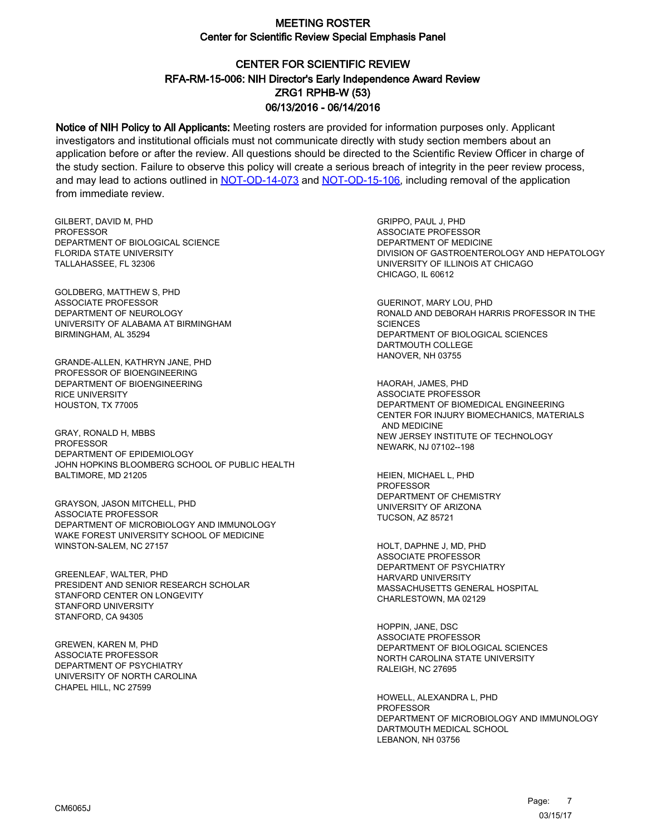# CENTER FOR SCIENTIFIC REVIEW ZRG1 RPHB-W (53) 06/13/2016 - 06/14/2016 RFA-RM-15-006: NIH Director's Early Independence Award Review

Notice of NIH Policy to All Applicants: Meeting rosters are provided for information purposes only. Applicant investigators and institutional officials must not communicate directly with study section members about an application before or after the review. All questions should be directed to the Scientific Review Officer in charge of the study section. Failure to observe this policy will create a serious breach of integrity in the peer review process, and may lead to actions outlined in [NOT-OD-14-073](https://grants.nih.gov/grants/guide/notice-files/NOT-OD-14-073.html) and [NOT-OD-15-106,](https://grants.nih.gov/grants/guide/notice-files/NOT-OD-15-106.html) including removal of the application from immediate review.

GILBERT, DAVID M, PHD **PROFESSOR** DEPARTMENT OF BIOLOGICAL SCIENCE FLORIDA STATE UNIVERSITY TALLAHASSEE, FL 32306

GOLDBERG, MATTHEW S, PHD ASSOCIATE PROFESSOR DEPARTMENT OF NEUROLOGY UNIVERSITY OF ALABAMA AT BIRMINGHAM BIRMINGHAM, AL 35294

GRANDE-ALLEN, KATHRYN JANE, PHD PROFESSOR OF BIOENGINEERING DEPARTMENT OF BIOENGINEERING RICE UNIVERSITY HOUSTON, TX 77005

GRAY, RONALD H, MBBS **PROFESSOR** DEPARTMENT OF EPIDEMIOLOGY JOHN HOPKINS BLOOMBERG SCHOOL OF PUBLIC HEALTH BALTIMORE, MD 21205

GRAYSON, JASON MITCHELL, PHD ASSOCIATE PROFESSOR DEPARTMENT OF MICROBIOLOGY AND IMMUNOLOGY WAKE FOREST UNIVERSITY SCHOOL OF MEDICINE WINSTON-SALEM, NC 27157

GREENLEAF, WALTER, PHD PRESIDENT AND SENIOR RESEARCH SCHOLAR STANFORD CENTER ON LONGEVITY STANFORD UNIVERSITY STANFORD, CA 94305

GREWEN, KAREN M, PHD ASSOCIATE PROFESSOR DEPARTMENT OF PSYCHIATRY UNIVERSITY OF NORTH CAROLINA CHAPEL HILL, NC 27599

GRIPPO, PAUL J, PHD ASSOCIATE PROFESSOR DEPARTMENT OF MEDICINE DIVISION OF GASTROENTEROLOGY AND HEPATOLOGY UNIVERSITY OF ILLINOIS AT CHICAGO CHICAGO, IL 60612

GUERINOT, MARY LOU, PHD RONALD AND DEBORAH HARRIS PROFESSOR IN THE **SCIENCES** DEPARTMENT OF BIOLOGICAL SCIENCES DARTMOUTH COLLEGE HANOVER, NH 03755

HAORAH, JAMES, PHD ASSOCIATE PROFESSOR DEPARTMENT OF BIOMEDICAL ENGINEERING CENTER FOR INJURY BIOMECHANICS, MATERIALS AND MEDICINE NEW JERSEY INSTITUTE OF TECHNOLOGY NEWARK, NJ 07102--198

HEIEN, MICHAEL L, PHD PROFESSOR DEPARTMENT OF CHEMISTRY UNIVERSITY OF ARIZONA TUCSON, AZ 85721

HOLT, DAPHNE J, MD, PHD ASSOCIATE PROFESSOR DEPARTMENT OF PSYCHIATRY HARVARD UNIVERSITY MASSACHUSETTS GENERAL HOSPITAL CHARLESTOWN, MA 02129

HOPPIN, JANE, DSC ASSOCIATE PROFESSOR DEPARTMENT OF BIOLOGICAL SCIENCES NORTH CAROLINA STATE UNIVERSITY RALEIGH, NC 27695

HOWELL, ALEXANDRA L, PHD PROFESSOR DEPARTMENT OF MICROBIOLOGY AND IMMUNOLOGY DARTMOUTH MEDICAL SCHOOL LEBANON, NH 03756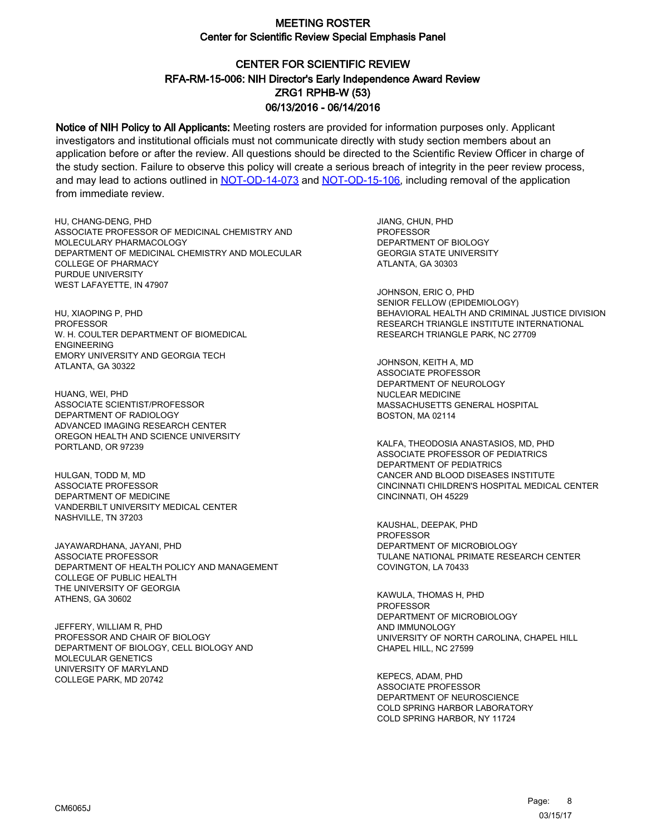# CENTER FOR SCIENTIFIC REVIEW ZRG1 RPHB-W (53) 06/13/2016 - 06/14/2016 RFA-RM-15-006: NIH Director's Early Independence Award Review

Notice of NIH Policy to All Applicants: Meeting rosters are provided for information purposes only. Applicant investigators and institutional officials must not communicate directly with study section members about an application before or after the review. All questions should be directed to the Scientific Review Officer in charge of the study section. Failure to observe this policy will create a serious breach of integrity in the peer review process, and may lead to actions outlined in [NOT-OD-14-073](https://grants.nih.gov/grants/guide/notice-files/NOT-OD-14-073.html) and [NOT-OD-15-106,](https://grants.nih.gov/grants/guide/notice-files/NOT-OD-15-106.html) including removal of the application from immediate review.

HU, CHANG-DENG, PHD ASSOCIATE PROFESSOR OF MEDICINAL CHEMISTRY AND MOLECULARY PHARMACOLOGY DEPARTMENT OF MEDICINAL CHEMISTRY AND MOLECULAR COLLEGE OF PHARMACY PURDUE UNIVERSITY WEST LAFAYETTE, IN 47907

HU, XIAOPING P, PHD PROFESSOR W. H. COULTER DEPARTMENT OF BIOMEDICAL ENGINEERING EMORY UNIVERSITY AND GEORGIA TECH ATLANTA, GA 30322

HUANG, WEI, PHD ASSOCIATE SCIENTIST/PROFESSOR DEPARTMENT OF RADIOLOGY ADVANCED IMAGING RESEARCH CENTER OREGON HEALTH AND SCIENCE UNIVERSITY PORTLAND, OR 97239

HULGAN, TODD M, MD ASSOCIATE PROFESSOR DEPARTMENT OF MEDICINE VANDERBILT UNIVERSITY MEDICAL CENTER NASHVILLE, TN 37203

JAYAWARDHANA, JAYANI, PHD ASSOCIATE PROFESSOR DEPARTMENT OF HEALTH POLICY AND MANAGEMENT COLLEGE OF PUBLIC HEALTH THE UNIVERSITY OF GEORGIA ATHENS, GA 30602

JEFFERY, WILLIAM R, PHD PROFESSOR AND CHAIR OF BIOLOGY DEPARTMENT OF BIOLOGY, CELL BIOLOGY AND MOLECULAR GENETICS UNIVERSITY OF MARYLAND COLLEGE PARK, MD 20742

JIANG, CHUN, PHD PROFESSOR DEPARTMENT OF BIOLOGY GEORGIA STATE UNIVERSITY ATLANTA, GA 30303

JOHNSON, ERIC O, PHD SENIOR FELLOW (EPIDEMIOLOGY) BEHAVIORAL HEALTH AND CRIMINAL JUSTICE DIVISION RESEARCH TRIANGLE INSTITUTE INTERNATIONAL RESEARCH TRIANGLE PARK, NC 27709

JOHNSON, KEITH A, MD ASSOCIATE PROFESSOR DEPARTMENT OF NEUROLOGY NUCLEAR MEDICINE MASSACHUSETTS GENERAL HOSPITAL BOSTON, MA 02114

KALFA, THEODOSIA ANASTASIOS, MD, PHD ASSOCIATE PROFESSOR OF PEDIATRICS DEPARTMENT OF PEDIATRICS CANCER AND BLOOD DISEASES INSTITUTE CINCINNATI CHILDREN'S HOSPITAL MEDICAL CENTER CINCINNATI, OH 45229

KAUSHAL, DEEPAK, PHD PROFESSOR DEPARTMENT OF MICROBIOLOGY TULANE NATIONAL PRIMATE RESEARCH CENTER COVINGTON, LA 70433

KAWULA, THOMAS H, PHD **PROFESSOR** DEPARTMENT OF MICROBIOLOGY AND IMMUNOLOGY UNIVERSITY OF NORTH CAROLINA, CHAPEL HILL CHAPEL HILL, NC 27599

KEPECS, ADAM, PHD ASSOCIATE PROFESSOR DEPARTMENT OF NEUROSCIENCE COLD SPRING HARBOR LABORATORY COLD SPRING HARBOR, NY 11724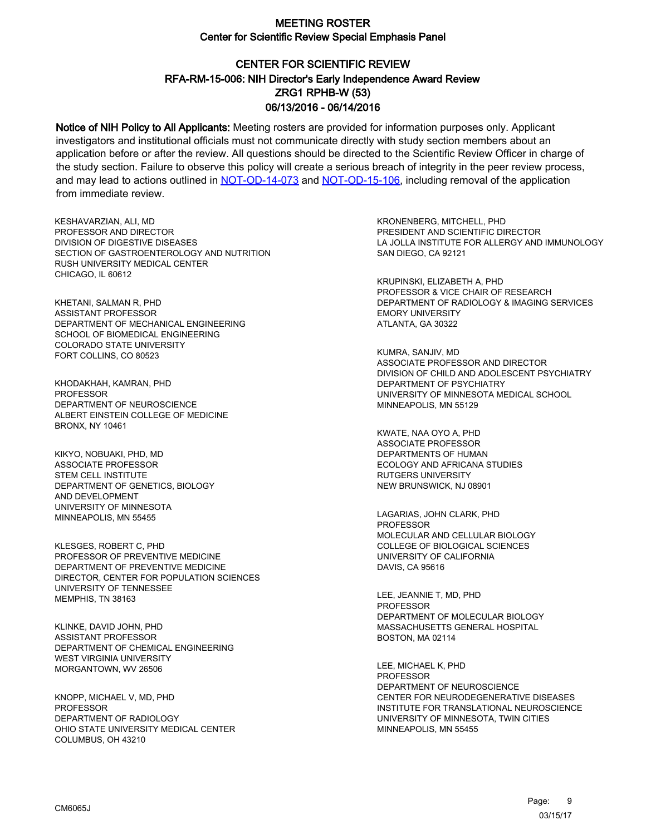# CENTER FOR SCIENTIFIC REVIEW ZRG1 RPHB-W (53) 06/13/2016 - 06/14/2016 RFA-RM-15-006: NIH Director's Early Independence Award Review

Notice of NIH Policy to All Applicants: Meeting rosters are provided for information purposes only. Applicant investigators and institutional officials must not communicate directly with study section members about an application before or after the review. All questions should be directed to the Scientific Review Officer in charge of the study section. Failure to observe this policy will create a serious breach of integrity in the peer review process, and may lead to actions outlined in [NOT-OD-14-073](https://grants.nih.gov/grants/guide/notice-files/NOT-OD-14-073.html) and [NOT-OD-15-106,](https://grants.nih.gov/grants/guide/notice-files/NOT-OD-15-106.html) including removal of the application from immediate review.

KESHAVARZIAN, ALI, MD PROFESSOR AND DIRECTOR DIVISION OF DIGESTIVE DISEASES SECTION OF GASTROENTEROLOGY AND NUTRITION RUSH UNIVERSITY MEDICAL CENTER CHICAGO, IL 60612

KHETANI, SALMAN R, PHD ASSISTANT PROFESSOR DEPARTMENT OF MECHANICAL ENGINEERING SCHOOL OF BIOMEDICAL ENGINEERING COLORADO STATE UNIVERSITY FORT COLLINS, CO 80523

KHODAKHAH, KAMRAN, PHD **PROFESSOR** DEPARTMENT OF NEUROSCIENCE ALBERT EINSTEIN COLLEGE OF MEDICINE BRONX, NY 10461

KIKYO, NOBUAKI, PHD, MD ASSOCIATE PROFESSOR STEM CELL INSTITUTE DEPARTMENT OF GENETICS, BIOLOGY AND DEVELOPMENT UNIVERSITY OF MINNESOTA MINNEAPOLIS, MN 55455

KLESGES, ROBERT C, PHD PROFESSOR OF PREVENTIVE MEDICINE DEPARTMENT OF PREVENTIVE MEDICINE DIRECTOR, CENTER FOR POPULATION SCIENCES UNIVERSITY OF TENNESSEE MEMPHIS, TN 38163

KLINKE, DAVID JOHN, PHD ASSISTANT PROFESSOR DEPARTMENT OF CHEMICAL ENGINEERING WEST VIRGINIA UNIVERSITY MORGANTOWN, WV 26506

KNOPP, MICHAEL V, MD, PHD **PROFESSOR** DEPARTMENT OF RADIOLOGY OHIO STATE UNIVERSITY MEDICAL CENTER COLUMBUS, OH 43210

KRONENBERG, MITCHELL, PHD PRESIDENT AND SCIENTIFIC DIRECTOR LA JOLLA INSTITUTE FOR ALLERGY AND IMMUNOLOGY SAN DIEGO, CA 92121

KRUPINSKI, ELIZABETH A, PHD PROFESSOR & VICE CHAIR OF RESEARCH DEPARTMENT OF RADIOLOGY & IMAGING SERVICES EMORY UNIVERSITY ATLANTA, GA 30322

KUMRA, SANJIV, MD ASSOCIATE PROFESSOR AND DIRECTOR DIVISION OF CHILD AND ADOLESCENT PSYCHIATRY DEPARTMENT OF PSYCHIATRY UNIVERSITY OF MINNESOTA MEDICAL SCHOOL MINNEAPOLIS, MN 55129

KWATE, NAA OYO A, PHD ASSOCIATE PROFESSOR DEPARTMENTS OF HUMAN ECOLOGY AND AFRICANA STUDIES RUTGERS UNIVERSITY NEW BRUNSWICK, NJ 08901

LAGARIAS, JOHN CLARK, PHD PROFESSOR MOLECULAR AND CELLULAR BIOLOGY COLLEGE OF BIOLOGICAL SCIENCES UNIVERSITY OF CALIFORNIA DAVIS, CA 95616

LEE, JEANNIE T, MD, PHD PROFESSOR DEPARTMENT OF MOLECULAR BIOLOGY MASSACHUSETTS GENERAL HOSPITAL BOSTON, MA 02114

LEE, MICHAEL K, PHD PROFESSOR DEPARTMENT OF NEUROSCIENCE CENTER FOR NEURODEGENERATIVE DISEASES INSTITUTE FOR TRANSLATIONAL NEUROSCIENCE UNIVERSITY OF MINNESOTA, TWIN CITIES MINNEAPOLIS, MN 55455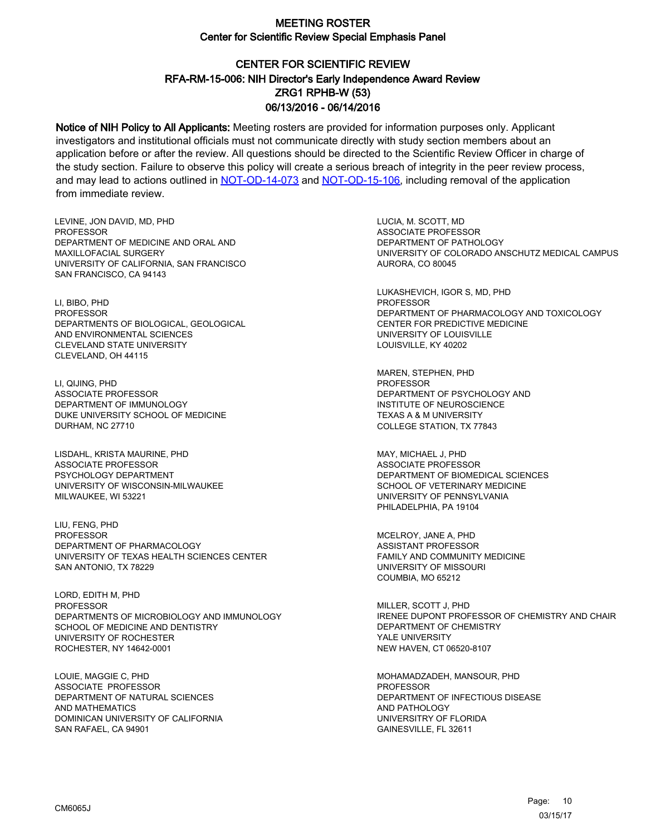# CENTER FOR SCIENTIFIC REVIEW ZRG1 RPHB-W (53) 06/13/2016 - 06/14/2016 RFA-RM-15-006: NIH Director's Early Independence Award Review

Notice of NIH Policy to All Applicants: Meeting rosters are provided for information purposes only. Applicant investigators and institutional officials must not communicate directly with study section members about an application before or after the review. All questions should be directed to the Scientific Review Officer in charge of the study section. Failure to observe this policy will create a serious breach of integrity in the peer review process, and may lead to actions outlined in [NOT-OD-14-073](https://grants.nih.gov/grants/guide/notice-files/NOT-OD-14-073.html) and [NOT-OD-15-106,](https://grants.nih.gov/grants/guide/notice-files/NOT-OD-15-106.html) including removal of the application from immediate review.

LEVINE, JON DAVID, MD, PHD **PROFESSOR** DEPARTMENT OF MEDICINE AND ORAL AND MAXILLOFACIAL SURGERY UNIVERSITY OF CALIFORNIA, SAN FRANCISCO SAN FRANCISCO, CA 94143

LI, BIBO, PHD PROFESSOR DEPARTMENTS OF BIOLOGICAL, GEOLOGICAL AND ENVIRONMENTAL SCIENCES CLEVELAND STATE UNIVERSITY CLEVELAND, OH 44115

LI, QIJING, PHD ASSOCIATE PROFESSOR DEPARTMENT OF IMMUNOLOGY DUKE UNIVERSITY SCHOOL OF MEDICINE DURHAM, NC 27710

LISDAHL, KRISTA MAURINE, PHD ASSOCIATE PROFESSOR PSYCHOLOGY DEPARTMENT UNIVERSITY OF WISCONSIN-MILWAUKEE MILWAUKEE, WI 53221

LIU, FENG, PHD PROFESSOR DEPARTMENT OF PHARMACOLOGY UNIVERSITY OF TEXAS HEALTH SCIENCES CENTER SAN ANTONIO, TX 78229

LORD, EDITH M, PHD PROFESSOR DEPARTMENTS OF MICROBIOLOGY AND IMMUNOLOGY SCHOOL OF MEDICINE AND DENTISTRY UNIVERSITY OF ROCHESTER ROCHESTER, NY 14642-0001

LOUIE, MAGGIE C, PHD ASSOCIATE PROFESSOR DEPARTMENT OF NATURAL SCIENCES AND MATHEMATICS DOMINICAN UNIVERSITY OF CALIFORNIA SAN RAFAEL, CA 94901

LUCIA, M. SCOTT, MD ASSOCIATE PROFESSOR DEPARTMENT OF PATHOLOGY UNIVERSITY OF COLORADO ANSCHUTZ MEDICAL CAMPUS AURORA, CO 80045

LUKASHEVICH, IGOR S, MD, PHD PROFESSOR DEPARTMENT OF PHARMACOLOGY AND TOXICOLOGY CENTER FOR PREDICTIVE MEDICINE UNIVERSITY OF LOUISVILLE LOUISVILLE, KY 40202

MAREN, STEPHEN, PHD PROFESSOR DEPARTMENT OF PSYCHOLOGY AND INSTITUTE OF NEUROSCIENCE TEXAS A & M UNIVERSITY COLLEGE STATION, TX 77843

MAY, MICHAEL J, PHD ASSOCIATE PROFESSOR DEPARTMENT OF BIOMEDICAL SCIENCES SCHOOL OF VETERINARY MEDICINE UNIVERSITY OF PENNSYLVANIA PHILADELPHIA, PA 19104

MCELROY, JANE A, PHD ASSISTANT PROFESSOR FAMILY AND COMMUNITY MEDICINE UNIVERSITY OF MISSOURI COUMBIA, MO 65212

MILLER, SCOTT J, PHD IRENEE DUPONT PROFESSOR OF CHEMISTRY AND CHAIR DEPARTMENT OF CHEMISTRY YALE UNIVERSITY NEW HAVEN, CT 06520-8107

MOHAMADZADEH, MANSOUR, PHD PROFESSOR DEPARTMENT OF INFECTIOUS DISEASE AND PATHOLOGY UNIVERSITRY OF FLORIDA GAINESVILLE, FL 32611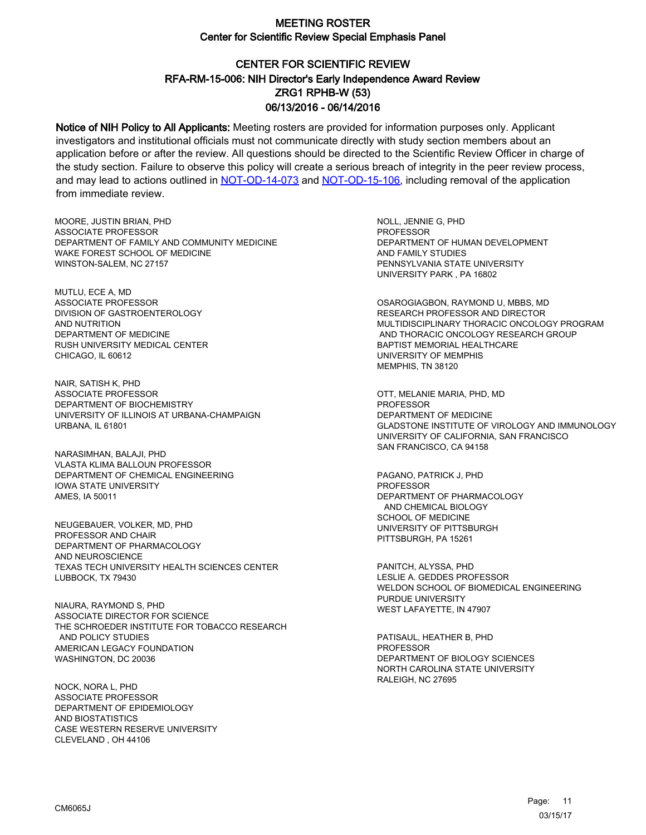# CENTER FOR SCIENTIFIC REVIEW ZRG1 RPHB-W (53) 06/13/2016 - 06/14/2016 RFA-RM-15-006: NIH Director's Early Independence Award Review

Notice of NIH Policy to All Applicants: Meeting rosters are provided for information purposes only. Applicant investigators and institutional officials must not communicate directly with study section members about an application before or after the review. All questions should be directed to the Scientific Review Officer in charge of the study section. Failure to observe this policy will create a serious breach of integrity in the peer review process, and may lead to actions outlined in [NOT-OD-14-073](https://grants.nih.gov/grants/guide/notice-files/NOT-OD-14-073.html) and [NOT-OD-15-106,](https://grants.nih.gov/grants/guide/notice-files/NOT-OD-15-106.html) including removal of the application from immediate review.

MOORE, JUSTIN BRIAN, PHD ASSOCIATE PROFESSOR DEPARTMENT OF FAMILY AND COMMUNITY MEDICINE WAKE FOREST SCHOOL OF MEDICINE WINSTON-SALEM, NC 27157

MUTLU, ECE A, MD ASSOCIATE PROFESSOR DIVISION OF GASTROENTEROLOGY AND NUTRITION DEPARTMENT OF MEDICINE RUSH UNIVERSITY MEDICAL CENTER CHICAGO, IL 60612

NAIR, SATISH K, PHD ASSOCIATE PROFESSOR DEPARTMENT OF BIOCHEMISTRY UNIVERSITY OF ILLINOIS AT URBANA-CHAMPAIGN URBANA, IL 61801

NARASIMHAN, BALAJI, PHD VLASTA KLIMA BALLOUN PROFESSOR DEPARTMENT OF CHEMICAL ENGINEERING IOWA STATE UNIVERSITY AMES, IA 50011

NEUGEBAUER, VOLKER, MD, PHD PROFESSOR AND CHAIR DEPARTMENT OF PHARMACOLOGY AND NEUROSCIENCE TEXAS TECH UNIVERSITY HEALTH SCIENCES CENTER LUBBOCK, TX 79430

NIAURA, RAYMOND S, PHD ASSOCIATE DIRECTOR FOR SCIENCE THE SCHROEDER INSTITUTE FOR TOBACCO RESEARCH AND POLICY STUDIES AMERICAN LEGACY FOUNDATION WASHINGTON, DC 20036

NOCK, NORA L, PHD ASSOCIATE PROFESSOR DEPARTMENT OF EPIDEMIOLOGY AND BIOSTATISTICS CASE WESTERN RESERVE UNIVERSITY CLEVELAND , OH 44106

NOLL, JENNIE G, PHD **PROFESSOR** DEPARTMENT OF HUMAN DEVELOPMENT AND FAMILY STUDIES PENNSYLVANIA STATE UNIVERSITY UNIVERSITY PARK , PA 16802

OSAROGIAGBON, RAYMOND U, MBBS, MD RESEARCH PROFESSOR AND DIRECTOR MULTIDISCIPLINARY THORACIC ONCOLOGY PROGRAM AND THORACIC ONCOLOGY RESEARCH GROUP BAPTIST MEMORIAL HEALTHCARE UNIVERSITY OF MEMPHIS MEMPHIS, TN 38120

OTT, MELANIE MARIA, PHD, MD **PROFESSOR** DEPARTMENT OF MEDICINE GLADSTONE INSTITUTE OF VIROLOGY AND IMMUNOLOGY UNIVERSITY OF CALIFORNIA, SAN FRANCISCO SAN FRANCISCO, CA 94158

PAGANO, PATRICK J, PHD PROFESSOR DEPARTMENT OF PHARMACOLOGY AND CHEMICAL BIOLOGY SCHOOL OF MEDICINE UNIVERSITY OF PITTSBURGH PITTSBURGH, PA 15261

PANITCH, ALYSSA, PHD LESLIE A. GEDDES PROFESSOR WELDON SCHOOL OF BIOMEDICAL ENGINEERING PURDUE UNIVERSITY WEST LAFAYETTE, IN 47907

PATISAUL, HEATHER B, PHD PROFESSOR DEPARTMENT OF BIOLOGY SCIENCES NORTH CAROLINA STATE UNIVERSITY RALEIGH, NC 27695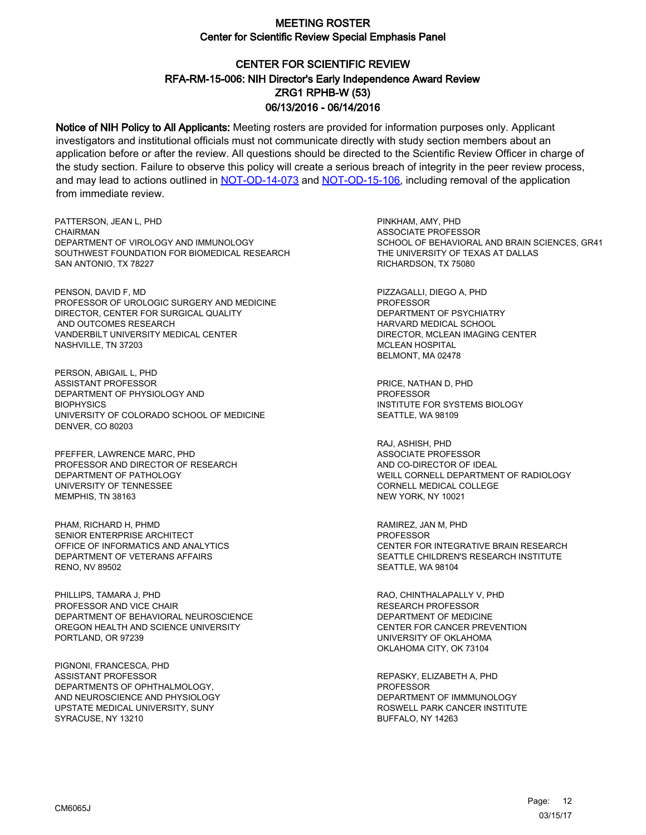# CENTER FOR SCIENTIFIC REVIEW ZRG1 RPHB-W (53) 06/13/2016 - 06/14/2016 RFA-RM-15-006: NIH Director's Early Independence Award Review

Notice of NIH Policy to All Applicants: Meeting rosters are provided for information purposes only. Applicant investigators and institutional officials must not communicate directly with study section members about an application before or after the review. All questions should be directed to the Scientific Review Officer in charge of the study section. Failure to observe this policy will create a serious breach of integrity in the peer review process, and may lead to actions outlined in [NOT-OD-14-073](https://grants.nih.gov/grants/guide/notice-files/NOT-OD-14-073.html) and [NOT-OD-15-106,](https://grants.nih.gov/grants/guide/notice-files/NOT-OD-15-106.html) including removal of the application from immediate review.

PATTERSON, JEAN L, PHD **CHAIRMAN** DEPARTMENT OF VIROLOGY AND IMMUNOLOGY SOUTHWEST FOUNDATION FOR BIOMEDICAL RESEARCH SAN ANTONIO, TX 78227

PENSON, DAVID F, MD PROFESSOR OF UROLOGIC SURGERY AND MEDICINE DIRECTOR, CENTER FOR SURGICAL QUALITY AND OUTCOMES RESEARCH VANDERBILT UNIVERSITY MEDICAL CENTER NASHVILLE, TN 37203

PERSON, ABIGAIL L, PHD ASSISTANT PROFESSOR DEPARTMENT OF PHYSIOLOGY AND **BIOPHYSICS** UNIVERSITY OF COLORADO SCHOOL OF MEDICINE DENVER, CO 80203

PFEFFER, LAWRENCE MARC, PHD PROFESSOR AND DIRECTOR OF RESEARCH DEPARTMENT OF PATHOLOGY UNIVERSITY OF TENNESSEE MEMPHIS, TN 38163

PHAM, RICHARD H, PHMD SENIOR ENTERPRISE ARCHITECT OFFICE OF INFORMATICS AND ANALYTICS DEPARTMENT OF VETERANS AFFAIRS RENO, NV 89502

PHILLIPS, TAMARA J, PHD PROFESSOR AND VICE CHAIR DEPARTMENT OF BEHAVIORAL NEUROSCIENCE OREGON HEALTH AND SCIENCE UNIVERSITY PORTLAND, OR 97239

PIGNONI, FRANCESCA, PHD ASSISTANT PROFESSOR DEPARTMENTS OF OPHTHALMOLOGY, AND NEUROSCIENCE AND PHYSIOLOGY UPSTATE MEDICAL UNIVERSITY, SUNY SYRACUSE, NY 13210

PINKHAM, AMY, PHD ASSOCIATE PROFESSOR SCHOOL OF BEHAVIORAL AND BRAIN SCIENCES, GR41 THE UNIVERSITY OF TEXAS AT DALLAS RICHARDSON, TX 75080

PIZZAGALLI, DIEGO A, PHD PROFESSOR DEPARTMENT OF PSYCHIATRY HARVARD MEDICAL SCHOOL DIRECTOR, MCLEAN IMAGING CENTER MCLEAN HOSPITAL BELMONT, MA 02478

PRICE, NATHAN D, PHD **PROFESSOR** INSTITUTE FOR SYSTEMS BIOLOGY SEATTLE, WA 98109

RAJ, ASHISH, PHD ASSOCIATE PROFESSOR AND CO-DIRECTOR OF IDEAL WEILL CORNELL DEPARTMENT OF RADIOLOGY CORNELL MEDICAL COLLEGE NEW YORK, NY 10021

RAMIREZ, JAN M, PHD PROFESSOR CENTER FOR INTEGRATIVE BRAIN RESEARCH SEATTLE CHILDREN'S RESEARCH INSTITUTE SEATTLE, WA 98104

RAO, CHINTHALAPALLY V, PHD RESEARCH PROFESSOR DEPARTMENT OF MEDICINE CENTER FOR CANCER PREVENTION UNIVERSITY OF OKLAHOMA OKLAHOMA CITY, OK 73104

REPASKY, ELIZABETH A, PHD **PROFESSOR** DEPARTMENT OF IMMMUNOLOGY ROSWELL PARK CANCER INSTITUTE BUFFALO, NY 14263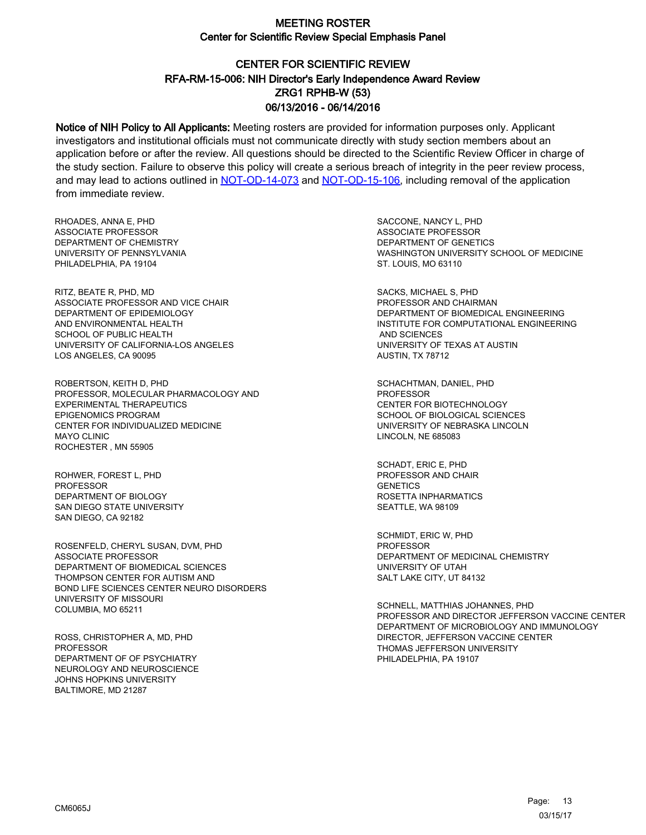# CENTER FOR SCIENTIFIC REVIEW ZRG1 RPHB-W (53) 06/13/2016 - 06/14/2016 RFA-RM-15-006: NIH Director's Early Independence Award Review

Notice of NIH Policy to All Applicants: Meeting rosters are provided for information purposes only. Applicant investigators and institutional officials must not communicate directly with study section members about an application before or after the review. All questions should be directed to the Scientific Review Officer in charge of the study section. Failure to observe this policy will create a serious breach of integrity in the peer review process, and may lead to actions outlined in [NOT-OD-14-073](https://grants.nih.gov/grants/guide/notice-files/NOT-OD-14-073.html) and [NOT-OD-15-106,](https://grants.nih.gov/grants/guide/notice-files/NOT-OD-15-106.html) including removal of the application from immediate review.

RHOADES, ANNA E, PHD ASSOCIATE PROFESSOR DEPARTMENT OF CHEMISTRY UNIVERSITY OF PENNSYLVANIA PHILADELPHIA, PA 19104

RITZ, BEATE R, PHD, MD ASSOCIATE PROFESSOR AND VICE CHAIR DEPARTMENT OF EPIDEMIOLOGY AND ENVIRONMENTAL HEALTH SCHOOL OF PUBLIC HEALTH UNIVERSITY OF CALIFORNIA-LOS ANGELES LOS ANGELES, CA 90095

ROBERTSON, KEITH D, PHD PROFESSOR, MOLECULAR PHARMACOLOGY AND EXPERIMENTAL THERAPEUTICS EPIGENOMICS PROGRAM CENTER FOR INDIVIDUALIZED MEDICINE MAYO CLINIC ROCHESTER , MN 55905

ROHWER, FOREST L, PHD PROFESSOR DEPARTMENT OF BIOLOGY SAN DIEGO STATE UNIVERSITY SAN DIEGO, CA 92182

ROSENFELD, CHERYL SUSAN, DVM, PHD ASSOCIATE PROFESSOR DEPARTMENT OF BIOMEDICAL SCIENCES THOMPSON CENTER FOR AUTISM AND BOND LIFE SCIENCES CENTER NEURO DISORDERS UNIVERSITY OF MISSOURI COLUMBIA, MO 65211

ROSS, CHRISTOPHER A, MD, PHD PROFESSOR DEPARTMENT OF OF PSYCHIATRY NEUROLOGY AND NEUROSCIENCE JOHNS HOPKINS UNIVERSITY BALTIMORE, MD 21287

SACCONE, NANCY L, PHD ASSOCIATE PROFESSOR DEPARTMENT OF GENETICS WASHINGTON UNIVERSITY SCHOOL OF MEDICINE ST. LOUIS, MO 63110

SACKS, MICHAEL S, PHD PROFESSOR AND CHAIRMAN DEPARTMENT OF BIOMEDICAL ENGINEERING INSTITUTE FOR COMPUTATIONAL ENGINEERING AND SCIENCES UNIVERSITY OF TEXAS AT AUSTIN AUSTIN, TX 78712

SCHACHTMAN, DANIEL, PHD PROFESSOR CENTER FOR BIOTECHNOLOGY SCHOOL OF BIOLOGICAL SCIENCES UNIVERSITY OF NEBRASKA LINCOLN LINCOLN, NE 685083

SCHADT, ERIC E, PHD PROFESSOR AND CHAIR **GENETICS** ROSETTA INPHARMATICS SEATTLE, WA 98109

SCHMIDT, ERIC W, PHD PROFESSOR DEPARTMENT OF MEDICINAL CHEMISTRY UNIVERSITY OF UTAH SALT LAKE CITY, UT 84132

SCHNELL, MATTHIAS JOHANNES, PHD PROFESSOR AND DIRECTOR JEFFERSON VACCINE CENTER DEPARTMENT OF MICROBIOLOGY AND IMMUNOLOGY DIRECTOR, JEFFERSON VACCINE CENTER THOMAS JEFFERSON UNIVERSITY PHILADELPHIA, PA 19107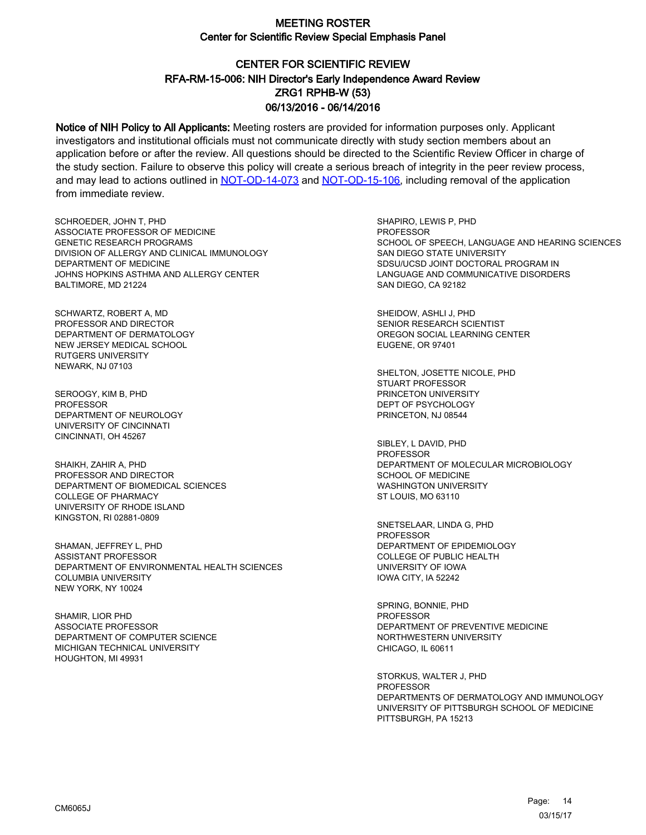# CENTER FOR SCIENTIFIC REVIEW ZRG1 RPHB-W (53) 06/13/2016 - 06/14/2016 RFA-RM-15-006: NIH Director's Early Independence Award Review

Notice of NIH Policy to All Applicants: Meeting rosters are provided for information purposes only. Applicant investigators and institutional officials must not communicate directly with study section members about an application before or after the review. All questions should be directed to the Scientific Review Officer in charge of the study section. Failure to observe this policy will create a serious breach of integrity in the peer review process, and may lead to actions outlined in [NOT-OD-14-073](https://grants.nih.gov/grants/guide/notice-files/NOT-OD-14-073.html) and [NOT-OD-15-106,](https://grants.nih.gov/grants/guide/notice-files/NOT-OD-15-106.html) including removal of the application from immediate review.

SCHROEDER, JOHN T, PHD ASSOCIATE PROFESSOR OF MEDICINE GENETIC RESEARCH PROGRAMS DIVISION OF ALLERGY AND CLINICAL IMMUNOLOGY DEPARTMENT OF MEDICINE JOHNS HOPKINS ASTHMA AND ALLERGY CENTER BALTIMORE, MD 21224

SCHWARTZ, ROBERT A, MD PROFESSOR AND DIRECTOR DEPARTMENT OF DERMATOLOGY NEW JERSEY MEDICAL SCHOOL RUTGERS UNIVERSITY NEWARK, NJ 07103

SEROOGY, KIM B, PHD **PROFESSOR** DEPARTMENT OF NEUROLOGY UNIVERSITY OF CINCINNATI CINCINNATI, OH 45267

SHAIKH, ZAHIR A, PHD PROFESSOR AND DIRECTOR DEPARTMENT OF BIOMEDICAL SCIENCES COLLEGE OF PHARMACY UNIVERSITY OF RHODE ISLAND KINGSTON, RI 02881-0809

SHAMAN, JEFFREY L, PHD ASSISTANT PROFESSOR DEPARTMENT OF ENVIRONMENTAL HEALTH SCIENCES COLUMBIA UNIVERSITY NEW YORK, NY 10024

SHAMIR, LIOR PHD ASSOCIATE PROFESSOR DEPARTMENT OF COMPUTER SCIENCE MICHIGAN TECHNICAL UNIVERSITY HOUGHTON, MI 49931

SHAPIRO, LEWIS P, PHD PROFESSOR SCHOOL OF SPEECH, LANGUAGE AND HEARING SCIENCES SAN DIEGO STATE UNIVERSITY SDSU/UCSD JOINT DOCTORAL PROGRAM IN LANGUAGE AND COMMUNICATIVE DISORDERS SAN DIEGO, CA 92182

SHEIDOW, ASHLI J, PHD SENIOR RESEARCH SCIENTIST OREGON SOCIAL LEARNING CENTER EUGENE, OR 97401

SHELTON, JOSETTE NICOLE, PHD STUART PROFESSOR PRINCETON UNIVERSITY DEPT OF PSYCHOLOGY PRINCETON, NJ 08544

SIBLEY, L DAVID, PHD PROFESSOR DEPARTMENT OF MOLECULAR MICROBIOLOGY SCHOOL OF MEDICINE WASHINGTON UNIVERSITY ST LOUIS, MO 63110

SNETSELAAR, LINDA G, PHD PROFESSOR DEPARTMENT OF EPIDEMIOLOGY COLLEGE OF PUBLIC HEALTH UNIVERSITY OF IOWA IOWA CITY, IA 52242

SPRING, BONNIE, PHD **PROFESSOR** DEPARTMENT OF PREVENTIVE MEDICINE NORTHWESTERN UNIVERSITY CHICAGO, IL 60611

STORKUS, WALTER J, PHD **PROFESSOR** DEPARTMENTS OF DERMATOLOGY AND IMMUNOLOGY UNIVERSITY OF PITTSBURGH SCHOOL OF MEDICINE PITTSBURGH, PA 15213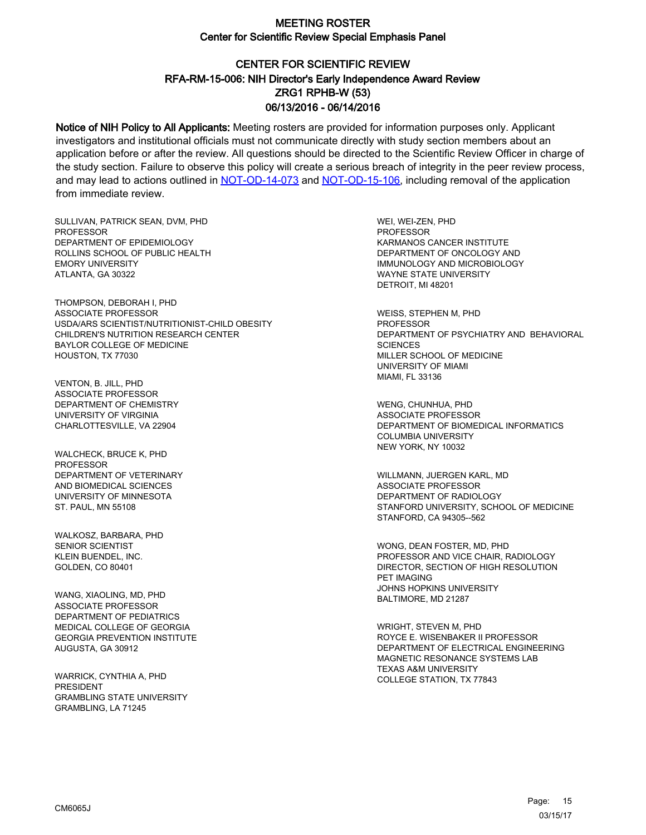# CENTER FOR SCIENTIFIC REVIEW ZRG1 RPHB-W (53) 06/13/2016 - 06/14/2016 RFA-RM-15-006: NIH Director's Early Independence Award Review

Notice of NIH Policy to All Applicants: Meeting rosters are provided for information purposes only. Applicant investigators and institutional officials must not communicate directly with study section members about an application before or after the review. All questions should be directed to the Scientific Review Officer in charge of the study section. Failure to observe this policy will create a serious breach of integrity in the peer review process, and may lead to actions outlined in [NOT-OD-14-073](https://grants.nih.gov/grants/guide/notice-files/NOT-OD-14-073.html) and [NOT-OD-15-106,](https://grants.nih.gov/grants/guide/notice-files/NOT-OD-15-106.html) including removal of the application from immediate review.

SULLIVAN, PATRICK SEAN, DVM, PHD PROFESSOR DEPARTMENT OF EPIDEMIOLOGY ROLLINS SCHOOL OF PUBLIC HEALTH EMORY UNIVERSITY ATLANTA, GA 30322

THOMPSON, DEBORAH I, PHD ASSOCIATE PROFESSOR USDA/ARS SCIENTIST/NUTRITIONIST-CHILD OBESITY CHILDREN'S NUTRITION RESEARCH CENTER BAYLOR COLLEGE OF MEDICINE HOUSTON, TX 77030

VENTON, B. JILL, PHD ASSOCIATE PROFESSOR DEPARTMENT OF CHEMISTRY UNIVERSITY OF VIRGINIA CHARLOTTESVILLE, VA 22904

WALCHECK, BRUCE K, PHD PROFESSOR DEPARTMENT OF VETERINARY AND BIOMEDICAL SCIENCES UNIVERSITY OF MINNESOTA ST. PAUL, MN 55108

WALKOSZ, BARBARA, PHD SENIOR SCIENTIST KLEIN BUENDEL, INC. GOLDEN, CO 80401

WANG, XIAOLING, MD, PHD ASSOCIATE PROFESSOR DEPARTMENT OF PEDIATRICS MEDICAL COLLEGE OF GEORGIA GEORGIA PREVENTION INSTITUTE AUGUSTA, GA 30912

WARRICK, CYNTHIA A, PHD PRESIDENT GRAMBLING STATE UNIVERSITY GRAMBLING, LA 71245

WEI, WEI-ZEN, PHD PROFESSOR KARMANOS CANCER INSTITUTE DEPARTMENT OF ONCOLOGY AND IMMUNOLOGY AND MICROBIOLOGY WAYNE STATE UNIVERSITY DETROIT, MI 48201

WEISS, STEPHEN M, PHD PROFESSOR DEPARTMENT OF PSYCHIATRY AND BEHAVIORAL **SCIENCES** MILLER SCHOOL OF MEDICINE UNIVERSITY OF MIAMI MIAMI, FL 33136

WENG, CHUNHUA, PHD ASSOCIATE PROFESSOR DEPARTMENT OF BIOMEDICAL INFORMATICS COLUMBIA UNIVERSITY NEW YORK, NY 10032

WILLMANN, JUERGEN KARL, MD ASSOCIATE PROFESSOR DEPARTMENT OF RADIOLOGY STANFORD UNIVERSITY, SCHOOL OF MEDICINE STANFORD, CA 94305--562

WONG, DEAN FOSTER, MD, PHD PROFESSOR AND VICE CHAIR, RADIOLOGY DIRECTOR, SECTION OF HIGH RESOLUTION PET IMAGING JOHNS HOPKINS UNIVERSITY BALTIMORE, MD 21287

WRIGHT, STEVEN M, PHD ROYCE E. WISENBAKER II PROFESSOR DEPARTMENT OF ELECTRICAL ENGINEERING MAGNETIC RESONANCE SYSTEMS LAB TEXAS A&M UNIVERSITY COLLEGE STATION, TX 77843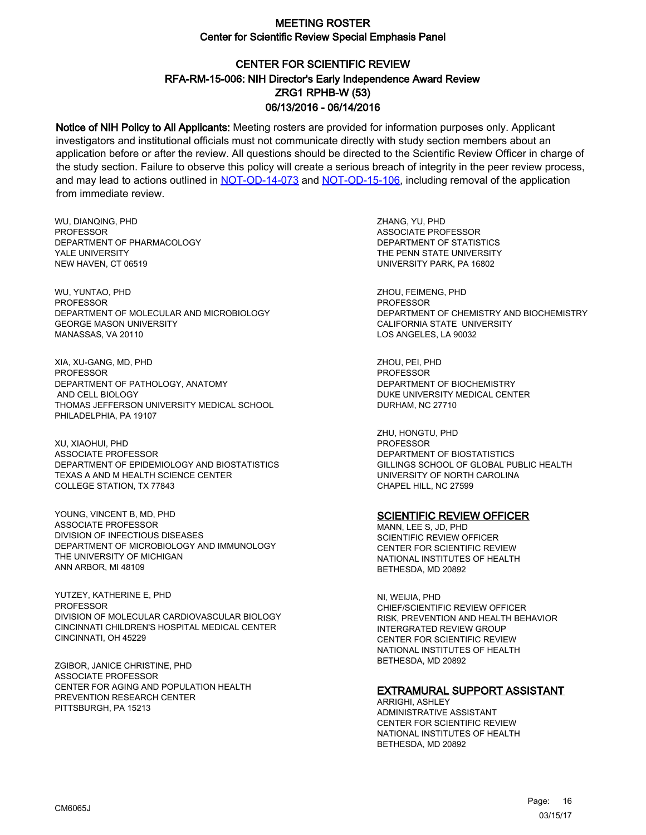# CENTER FOR SCIENTIFIC REVIEW ZRG1 RPHB-W (53) 06/13/2016 - 06/14/2016 RFA-RM-15-006: NIH Director's Early Independence Award Review

Notice of NIH Policy to All Applicants: Meeting rosters are provided for information purposes only. Applicant investigators and institutional officials must not communicate directly with study section members about an application before or after the review. All questions should be directed to the Scientific Review Officer in charge of the study section. Failure to observe this policy will create a serious breach of integrity in the peer review process, and may lead to actions outlined in [NOT-OD-14-073](https://grants.nih.gov/grants/guide/notice-files/NOT-OD-14-073.html) and [NOT-OD-15-106,](https://grants.nih.gov/grants/guide/notice-files/NOT-OD-15-106.html) including removal of the application from immediate review.

WU, DIANQING, PHD PROFESSOR DEPARTMENT OF PHARMACOLOGY YALE UNIVERSITY NEW HAVEN, CT 06519

WU, YUNTAO, PHD PROFESSOR DEPARTMENT OF MOLECULAR AND MICROBIOLOGY GEORGE MASON UNIVERSITY MANASSAS, VA 20110

XIA, XU-GANG, MD, PHD PROFESSOR DEPARTMENT OF PATHOLOGY, ANATOMY AND CELL BIOLOGY THOMAS JEFFERSON UNIVERSITY MEDICAL SCHOOL PHILADELPHIA, PA 19107

XU, XIAOHUI, PHD ASSOCIATE PROFESSOR DEPARTMENT OF EPIDEMIOLOGY AND BIOSTATISTICS TEXAS A AND M HEALTH SCIENCE CENTER COLLEGE STATION, TX 77843

YOUNG, VINCENT B, MD, PHD ASSOCIATE PROFESSOR DIVISION OF INFECTIOUS DISEASES DEPARTMENT OF MICROBIOLOGY AND IMMUNOLOGY THE UNIVERSITY OF MICHIGAN ANN ARBOR, MI 48109

YUTZEY, KATHERINE E, PHD PROFESSOR DIVISION OF MOLECULAR CARDIOVASCULAR BIOLOGY CINCINNATI CHILDREN'S HOSPITAL MEDICAL CENTER CINCINNATI, OH 45229

ZGIBOR, JANICE CHRISTINE, PHD ASSOCIATE PROFESSOR CENTER FOR AGING AND POPULATION HEALTH PREVENTION RESEARCH CENTER PITTSBURGH, PA 15213

ZHANG, YU, PHD ASSOCIATE PROFESSOR DEPARTMENT OF STATISTICS THE PENN STATE UNIVERSITY UNIVERSITY PARK, PA 16802

ZHOU, FEIMENG, PHD PROFESSOR DEPARTMENT OF CHEMISTRY AND BIOCHEMISTRY CALIFORNIA STATE UNIVERSITY LOS ANGELES, LA 90032

ZHOU, PEI, PHD **PROFESSOR** DEPARTMENT OF BIOCHEMISTRY DUKE UNIVERSITY MEDICAL CENTER DURHAM, NC 27710

ZHU, HONGTU, PHD PROFESSOR DEPARTMENT OF BIOSTATISTICS GILLINGS SCHOOL OF GLOBAL PUBLIC HEALTH UNIVERSITY OF NORTH CAROLINA CHAPEL HILL, NC 27599

#### **SCIENTIFIC REVIEW OFFICER**

MANN, LEE S, JD, PHD SCIENTIFIC REVIEW OFFICER CENTER FOR SCIENTIFIC REVIEW NATIONAL INSTITUTES OF HEALTH BETHESDA, MD 20892

NI, WEIJIA, PHD CHIEF/SCIENTIFIC REVIEW OFFICER RISK, PREVENTION AND HEALTH BEHAVIOR INTERGRATED REVIEW GROUP CENTER FOR SCIENTIFIC REVIEW NATIONAL INSTITUTES OF HEALTH BETHESDA, MD 20892

#### EXTRAMURAL SUPPORT ASSISTANT

ARRIGHI, ASHLEY ADMINISTRATIVE ASSISTANT CENTER FOR SCIENTIFIC REVIEW NATIONAL INSTITUTES OF HEALTH BETHESDA, MD 20892